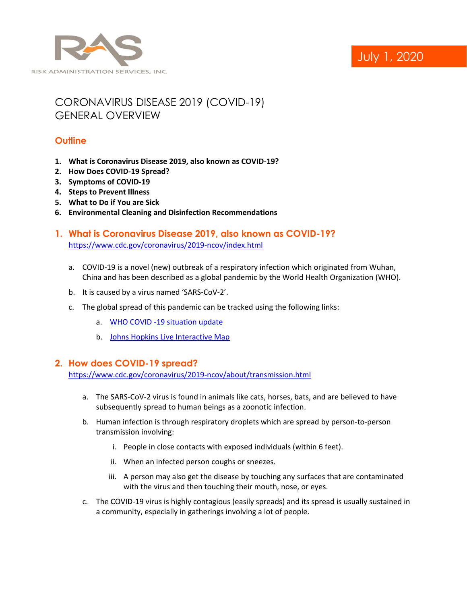

# July 1, 2020

## CORONAVIRUS DISEASE 2019 (COVID-19) GENERAL OVERVIEW

## **Outline**

- **1. What is Coronavirus Disease 2019, also known as COVID-19?**
- **2. How Does COVID-19 Spread?**
- **3. Symptoms of COVID-19**
- **4. Steps to Prevent Illness**
- **5. What to Do if You are Sick**
- **6. Environmental Cleaning and Disinfection Recommendations**
- **1. What is Coronavirus Disease 2019, also known as COVID-19?** <https://www.cdc.gov/coronavirus/2019-ncov/index.html>
	- a. COVID-19 is a novel (new) outbreak of a respiratory infection which originated from Wuhan, China and has been described as a global pandemic by the World Health Organization (WHO).
	- b. It is caused by a virus named 'SARS-CoV-2'.
	- c. The global spread of this pandemic can be tracked using the following links:
		- a. [WHO COVID -19 situation update](https://experience.arcgis.com/experience/685d0ace521648f8a5beeeee1b9125cd)
		- b. Johns Hopkins [Live Interactive Map](https://coronavirus.jhu.edu/map.html)

### **2. How does COVID-19 spread?**

<https://www.cdc.gov/coronavirus/2019-ncov/about/transmission.html>

- a. The SARS-CoV-2 virus is found in animals like cats, horses, bats, and are believed to have subsequently spread to human beings as a zoonotic infection.
- b. Human infection is through respiratory droplets which are spread by person-to-person transmission involving:
	- i. People in close contacts with exposed individuals (within 6 feet).
	- ii. When an infected person coughs or sneezes.
	- iii. A person may also get the disease by touching any surfaces that are contaminated with the virus and then touching their mouth, nose, or eyes.
- c. The COVID-19 virus is highly contagious (easily spreads) and its spread is usually sustained in a community, especially in gatherings involving a lot of people.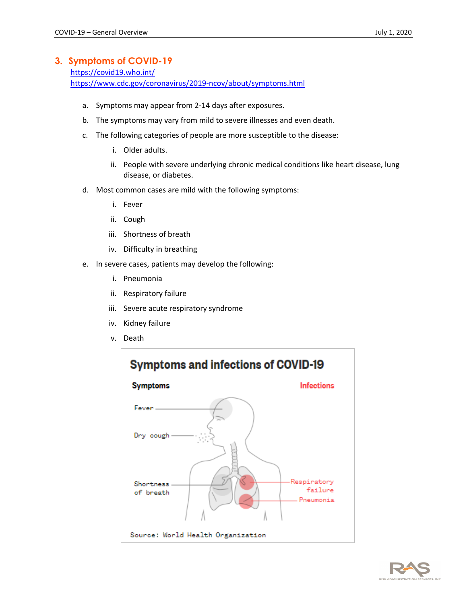## **3. Symptoms of COVID-19**

<https://covid19.who.int/> <https://www.cdc.gov/coronavirus/2019-ncov/about/symptoms.html>

- a. Symptoms may appear from 2-14 days after exposures.
- b. The symptoms may vary from mild to severe illnesses and even death.
- c. The following categories of people are more susceptible to the disease:
	- i. Older adults.
	- ii. People with severe underlying chronic medical conditions like heart disease, lung disease, or diabetes.
- d. Most common cases are mild with the following symptoms:
	- i. Fever
	- ii. Cough
	- iii. Shortness of breath
	- iv. Difficulty in breathing
- e. In severe cases, patients may develop the following:
	- i. Pneumonia
	- ii. Respiratory failure
	- iii. Severe acute respiratory syndrome
	- iv. Kidney failure
	- v. Death



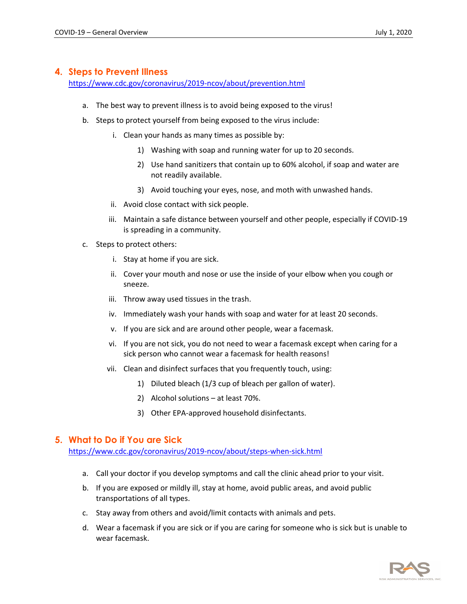## **4. Steps to Prevent Illness**

<https://www.cdc.gov/coronavirus/2019-ncov/about/prevention.html>

- a. The best way to prevent illness is to avoid being exposed to the virus!
- b. Steps to protect yourself from being exposed to the virus include:
	- i. Clean your hands as many times as possible by:
		- 1) Washing with soap and running water for up to 20 seconds.
		- 2) Use hand sanitizers that contain up to 60% alcohol, if soap and water are not readily available.
		- 3) Avoid touching your eyes, nose, and moth with unwashed hands.
	- ii. Avoid close contact with sick people.
	- iii. Maintain a safe distance between yourself and other people, especially if COVID-19 is spreading in a community.
- c. Steps to protect others:
	- i. Stay at home if you are sick.
	- ii. Cover your mouth and nose or use the inside of your elbow when you cough or sneeze.
	- iii. Throw away used tissues in the trash.
	- iv. Immediately wash your hands with soap and water for at least 20 seconds.
	- v. If you are sick and are around other people, wear a facemask.
	- vi. If you are not sick, you do not need to wear a facemask except when caring for a sick person who cannot wear a facemask for health reasons!
	- vii. Clean and disinfect surfaces that you frequently touch, using:
		- 1) Diluted bleach (1/3 cup of bleach per gallon of water).
		- 2) Alcohol solutions at least 70%.
		- 3) Other EPA-approved household disinfectants.

### **5. What to Do if You are Sick**

<https://www.cdc.gov/coronavirus/2019-ncov/about/steps-when-sick.html>

- a. Call your doctor if you develop symptoms and call the clinic ahead prior to your visit.
- b. If you are exposed or mildly ill, stay at home, avoid public areas, and avoid public transportations of all types.
- c. Stay away from others and avoid/limit contacts with animals and pets.
- d. Wear a facemask if you are sick or if you are caring for someone who is sick but is unable to wear facemask.

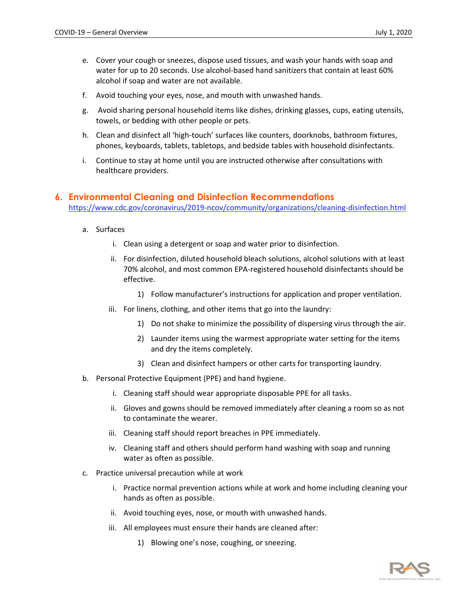- e. Cover your cough or sneezes, dispose used tissues, and wash your hands with soap and water for up to 20 seconds. Use alcohol-based hand sanitizers that contain at least 60% alcohol if soap and water are not available.
- f. Avoid touching your eyes, nose, and mouth with unwashed hands.
- g. Avoid sharing personal household items like dishes, drinking glasses, cups, eating utensils, towels, or bedding with other people or pets.
- h. Clean and disinfect all 'high-touch' surfaces like counters, doorknobs, bathroom fixtures, phones, keyboards, tablets, tabletops, and bedside tables with household disinfectants.
- i. Continue to stay at home until you are instructed otherwise after consultations with healthcare providers.

#### **6. Environmental Cleaning and Disinfection Recommendations**

<https://www.cdc.gov/coronavirus/2019-ncov/community/organizations/cleaning-disinfection.html>

- a. Surfaces
	- i. Clean using a detergent or soap and water prior to disinfection.
	- ii. For disinfection, diluted household bleach solutions, alcohol solutions with at least 70% alcohol, and most common EPA-registered household disinfectants should be effective.
		- 1) Follow manufacturer's instructions for application and proper ventilation.
	- iii. For linens, clothing, and other items that go into the laundry:
		- 1) Do not shake to minimize the possibility of dispersing virus through the air.
		- 2) Launder items using the warmest appropriate water setting for the items and dry the items completely.
		- 3) Clean and disinfect hampers or other carts for transporting laundry.
- b. Personal Protective Equipment (PPE) and hand hygiene.
	- i. Cleaning staff should wear appropriate disposable PPE for all tasks.
	- ii. Gloves and gowns should be removed immediately after cleaning a room so as not to contaminate the wearer.
	- iii. Cleaning staff should report breaches in PPE immediately.
	- iv. Cleaning staff and others should perform hand washing with soap and running water as often as possible.
- c. Practice universal precaution while at work
	- i. Practice normal prevention actions while at work and home including cleaning your hands as often as possible.
	- ii. Avoid touching eyes, nose, or mouth with unwashed hands.
	- iii. All employees must ensure their hands are cleaned after:
		- 1) Blowing one's nose, coughing, or sneezing.